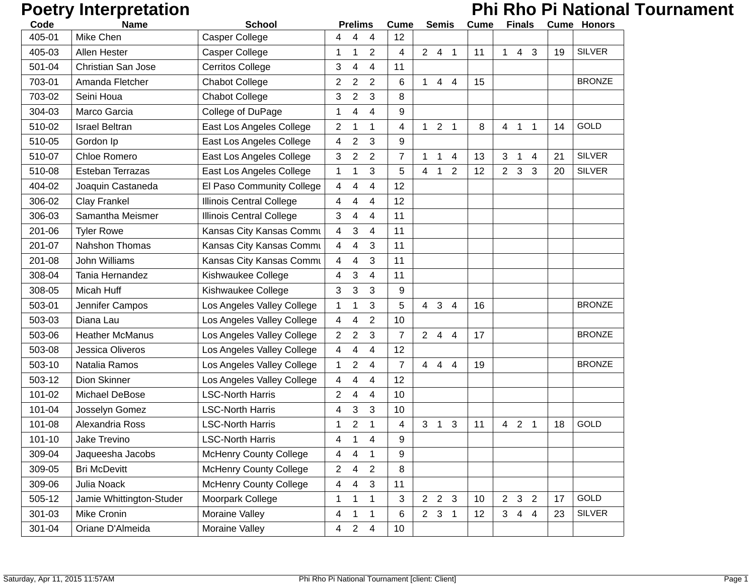# **Poetry Interpretation** *Phi Rho Pi National Tournament*

| Code       | <b>Name</b>               | <b>School</b>                   | <b>Prelims</b>                        | <b>Cume</b>    | <b>Semis</b>                                       | Cume | <b>Finals</b>                                      |    | <b>Cume Honors</b> |
|------------|---------------------------|---------------------------------|---------------------------------------|----------------|----------------------------------------------------|------|----------------------------------------------------|----|--------------------|
| 405-01     | Mike Chen                 | <b>Casper College</b>           | 4<br>4                                | 12             |                                                    |      |                                                    |    |                    |
| 405-03     | Allen Hester              | Casper College                  | $\overline{2}$<br>1<br>1              | 4              | $2 \quad 4$<br>$\overline{1}$                      | 11   | $\overline{4}$<br>3<br>$\mathbf{1}$                | 19 | <b>SILVER</b>      |
| 501-04     | <b>Christian San Jose</b> | <b>Cerritos College</b>         | 3<br>4<br>4                           | 11             |                                                    |      |                                                    |    |                    |
| 703-01     | Amanda Fletcher           | <b>Chabot College</b>           | $\overline{2}$<br>$\overline{2}$<br>2 | 6              | $\mathbf{1}$<br>44                                 | 15   |                                                    |    | <b>BRONZE</b>      |
| 703-02     | Seini Houa                | <b>Chabot College</b>           | 3<br>$\overline{2}$<br>3              | 8              |                                                    |      |                                                    |    |                    |
| 304-03     | Marco Garcia              | College of DuPage               | 1<br>4<br>4                           | 9              |                                                    |      |                                                    |    |                    |
| 510-02     | <b>Israel Beltran</b>     | East Los Angeles College        | $\overline{2}$<br>1<br>1              | 4              | $\overline{2}$<br>$\mathbf{1}$<br>$\overline{1}$   | 8    | $\overline{4}$<br>$\mathbf 1$<br>$\mathbf 1$       | 14 | <b>GOLD</b>        |
| 510-05     | Gordon Ip                 | East Los Angeles College        | $\overline{2}$<br>3<br>4              | 9              |                                                    |      |                                                    |    |                    |
| 510-07     | Chloe Romero              | East Los Angeles College        | 3<br>$\overline{c}$<br>$\overline{2}$ | $\overline{7}$ | $\mathbf{1}$<br>4<br>1                             | 13   | 3<br>1<br>4                                        | 21 | <b>SILVER</b>      |
| 510-08     | Esteban Terrazas          | East Los Angeles College        | 3<br>1<br>1                           | 5              | $\overline{2}$<br>$\overline{4}$<br>$\mathbf{1}$   | 12   | $\mathbf{3}$<br>2 <sup>1</sup><br>3                | 20 | <b>SILVER</b>      |
| 404-02     | Joaquin Castaneda         | El Paso Community College       | 4<br>4<br>4                           | 12             |                                                    |      |                                                    |    |                    |
| 306-02     | Clay Frankel              | <b>Illinois Central College</b> | 4<br>4<br>4                           | 12             |                                                    |      |                                                    |    |                    |
| 306-03     | Samantha Meismer          | Illinois Central College        | 3<br>4<br>4                           | 11             |                                                    |      |                                                    |    |                    |
| 201-06     | <b>Tyler Rowe</b>         | Kansas City Kansas Commu        | 4<br>3<br>$\overline{4}$              | 11             |                                                    |      |                                                    |    |                    |
| 201-07     | <b>Nahshon Thomas</b>     | Kansas City Kansas Commu        | 4<br>$\overline{4}$<br>3              | 11             |                                                    |      |                                                    |    |                    |
| 201-08     | John Williams             | Kansas City Kansas Commu        | 3<br>4<br>4                           | 11             |                                                    |      |                                                    |    |                    |
| 308-04     | Tania Hernandez           | Kishwaukee College              | 3<br>4<br>4                           | 11             |                                                    |      |                                                    |    |                    |
| 308-05     | Micah Huff                | Kishwaukee College              | 3<br>3<br>3                           | 9              |                                                    |      |                                                    |    |                    |
| 503-01     | Jennifer Campos           | Los Angeles Valley College      | 3<br>1<br>1                           | 5              | $\overline{4}$<br>$\mathbf{3}$<br>$\overline{4}$   | 16   |                                                    |    | <b>BRONZE</b>      |
| 503-03     | Diana Lau                 | Los Angeles Valley College      | $\overline{2}$<br>4<br>4              | 10             |                                                    |      |                                                    |    |                    |
| 503-06     | <b>Heather McManus</b>    | Los Angeles Valley College      | $\overline{2}$<br>$\overline{2}$<br>3 | $\overline{7}$ | $2 \quad 4 \quad 4$                                | 17   |                                                    |    | <b>BRONZE</b>      |
| 503-08     | Jessica Oliveros          | Los Angeles Valley College      | 4<br>4<br>4                           | 12             |                                                    |      |                                                    |    |                    |
| 503-10     | Natalia Ramos             | Los Angeles Valley College      | $\overline{2}$<br>1<br>4              | $\overline{7}$ | $\overline{4}$<br>$\overline{4}$<br>$\overline{4}$ | 19   |                                                    |    | <b>BRONZE</b>      |
| 503-12     | Dion Skinner              | Los Angeles Valley College      | 4<br>4<br>4                           | 12             |                                                    |      |                                                    |    |                    |
| 101-02     | Michael DeBose            | <b>LSC-North Harris</b>         | 2<br>4<br>4                           | 10             |                                                    |      |                                                    |    |                    |
| 101-04     | Josselyn Gomez            | <b>LSC-North Harris</b>         | 3<br>3<br>4                           | 10             |                                                    |      |                                                    |    |                    |
| 101-08     | Alexandria Ross           | <b>LSC-North Harris</b>         | $\overline{2}$<br>1<br>1              | 4              | 3<br>$\overline{1}$<br>3                           | 11   | $4\quad2$<br>$\overline{1}$                        | 18 | <b>GOLD</b>        |
| $101 - 10$ | Jake Trevino              | <b>LSC-North Harris</b>         | 4<br>4<br>1                           | 9              |                                                    |      |                                                    |    |                    |
| 309-04     | Jaqueesha Jacobs          | <b>McHenry County College</b>   | 1<br>4<br>4                           | 9              |                                                    |      |                                                    |    |                    |
| 309-05     | <b>Bri McDevitt</b>       | <b>McHenry County College</b>   | $\overline{2}$<br>2<br>4              | 8              |                                                    |      |                                                    |    |                    |
| 309-06     | Julia Noack               | <b>McHenry County College</b>   | 4<br>4<br>3                           | 11             |                                                    |      |                                                    |    |                    |
| 505-12     | Jamie Whittington-Studer  | Moorpark College                | 1<br>1<br>1                           | 3              | $\overline{2}$<br>2 <sub>3</sub>                   | 10   | $2 \quad 3$<br>$\overline{2}$                      | 17 | GOLD               |
| 301-03     | Mike Cronin               | Moraine Valley                  | 4<br>1<br>1                           | 6              | $2 \quad 3 \quad 1$                                | 12   | 3 <sup>1</sup><br>$\overline{4}$<br>$\overline{4}$ | 23 | <b>SILVER</b>      |
| 301-04     | Oriane D'Almeida          | Moraine Valley                  | $\overline{c}$<br>4<br>4              | 10             |                                                    |      |                                                    |    |                    |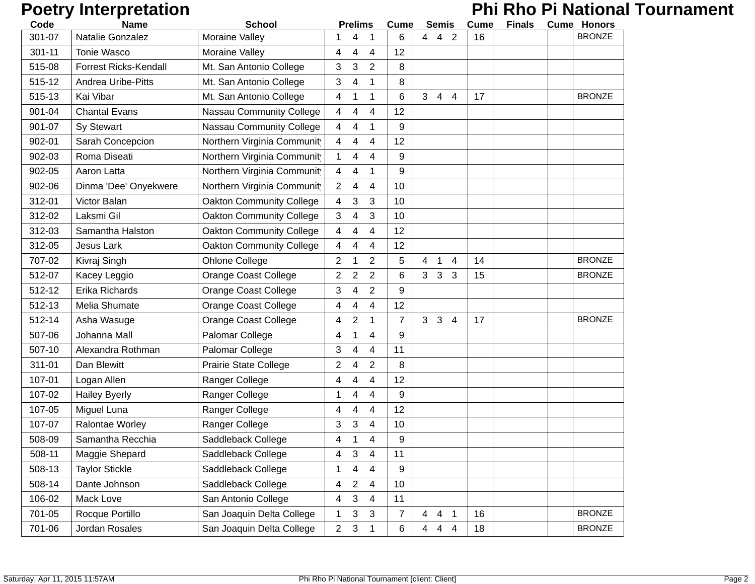# **Poetry Interpretation** *Phi Rho Pi National Tournament*

| Code   | <b>Name</b>                  | <b>School</b>                   |                | <b>Prelims</b> |                | <b>Cume</b>    |                | <b>Semis</b>   |                | <b>Cume</b> | <b>Finals</b> | <b>Cume Honors</b> |
|--------|------------------------------|---------------------------------|----------------|----------------|----------------|----------------|----------------|----------------|----------------|-------------|---------------|--------------------|
| 301-07 | Natalie Gonzalez             | Moraine Valley                  |                |                |                | 6              | 4              | 4              | $\overline{2}$ | 16          |               | <b>BRONZE</b>      |
| 301-11 | <b>Tonie Wasco</b>           | Moraine Valley                  | 4              | 4              | 4              | 12             |                |                |                |             |               |                    |
| 515-08 | <b>Forrest Ricks-Kendall</b> | Mt. San Antonio College         | 3              | 3              | 2              | 8              |                |                |                |             |               |                    |
| 515-12 | <b>Andrea Uribe-Pitts</b>    | Mt. San Antonio College         | 3              | 4              | 1              | 8              |                |                |                |             |               |                    |
| 515-13 | Kai Vibar                    | Mt. San Antonio College         | 4              | 1              | 1              | 6              | 3 <sup>1</sup> | $\overline{4}$ | $\overline{4}$ | 17          |               | <b>BRONZE</b>      |
| 901-04 | <b>Chantal Evans</b>         | Nassau Community College        | 4              | 4              | 4              | 12             |                |                |                |             |               |                    |
| 901-07 | Sy Stewart                   | Nassau Community College        | 4              | 4              | 1              | 9              |                |                |                |             |               |                    |
| 902-01 | Sarah Concepcion             | Northern Virginia Communit      | 4              | 4              | 4              | 12             |                |                |                |             |               |                    |
| 902-03 | Roma Diseati                 | Northern Virginia Communit      | 1              | 4              | 4              | 9              |                |                |                |             |               |                    |
| 902-05 | Aaron Latta                  | Northern Virginia Communit      | 4              | 4              | 1              | 9              |                |                |                |             |               |                    |
| 902-06 | Dinma 'Dee' Onyekwere        | Northern Virginia Communit      | 2              | 4              | 4              | 10             |                |                |                |             |               |                    |
| 312-01 | Victor Balan                 | <b>Oakton Community College</b> | 4              | 3              | 3              | 10             |                |                |                |             |               |                    |
| 312-02 | Laksmi Gil                   | <b>Oakton Community College</b> | 3              | 4              | 3              | 10             |                |                |                |             |               |                    |
| 312-03 | Samantha Halston             | <b>Oakton Community College</b> | 4              | 4              | $\overline{4}$ | 12             |                |                |                |             |               |                    |
| 312-05 | <b>Jesus Lark</b>            | <b>Oakton Community College</b> | 4              | 4              | 4              | 12             |                |                |                |             |               |                    |
| 707-02 | Kivraj Singh                 | Ohlone College                  | 2              | 1              | $\overline{2}$ | 5              | 4              | -1             | 4              | 14          |               | <b>BRONZE</b>      |
| 512-07 | Kacey Leggio                 | <b>Orange Coast College</b>     | 2              | 2              | 2              | 6              | 3 <sup>7</sup> | 3              | 3              | 15          |               | <b>BRONZE</b>      |
| 512-12 | Erika Richards               | <b>Orange Coast College</b>     | 3              | 4              | 2              | 9              |                |                |                |             |               |                    |
| 512-13 | Melia Shumate                | <b>Orange Coast College</b>     | 4              | 4              | 4              | 12             |                |                |                |             |               |                    |
| 512-14 | Asha Wasuge                  | <b>Orange Coast College</b>     | 4              | $\overline{2}$ | 1              | $\overline{7}$ | 3              | 3              | $\overline{4}$ | 17          |               | <b>BRONZE</b>      |
| 507-06 | Johanna Mall                 | Palomar College                 | 4              | 1              | 4              | 9              |                |                |                |             |               |                    |
| 507-10 | Alexandra Rothman            | Palomar College                 | 3              | 4              | $\overline{4}$ | 11             |                |                |                |             |               |                    |
| 311-01 | Dan Blewitt                  | Prairie State College           | 2              | 4              | $\overline{2}$ | 8              |                |                |                |             |               |                    |
| 107-01 | Logan Allen                  | Ranger College                  | 4              | 4              | 4              | 12             |                |                |                |             |               |                    |
| 107-02 | <b>Hailey Byerly</b>         | Ranger College                  | 1              | 4              | 4              | 9              |                |                |                |             |               |                    |
| 107-05 | Miguel Luna                  | Ranger College                  | 4              | 4              | 4              | 12             |                |                |                |             |               |                    |
| 107-07 | Ralontae Worley              | Ranger College                  | 3              | 3              | $\overline{4}$ | 10             |                |                |                |             |               |                    |
| 508-09 | Samantha Recchia             | Saddleback College              | 4              |                | 4              | 9              |                |                |                |             |               |                    |
| 508-11 | Maggie Shepard               | Saddleback College              | 4              | 3              | 4              | 11             |                |                |                |             |               |                    |
| 508-13 | <b>Taylor Stickle</b>        | Saddleback College              | 1              | 4              | 4              | 9              |                |                |                |             |               |                    |
| 508-14 | Dante Johnson                | Saddleback College              | 4              | 2              | 4              | 10             |                |                |                |             |               |                    |
| 106-02 | Mack Love                    | San Antonio College             | 4              | 3              | 4              | 11             |                |                |                |             |               |                    |
| 701-05 | Rocque Portillo              | San Joaquin Delta College       | 1              | 3              | 3              | $\overline{7}$ | $\overline{4}$ |                | 4 <sub>1</sub> | 16          |               | <b>BRONZE</b>      |
| 701-06 | Jordan Rosales               | San Joaquin Delta College       | $\overline{2}$ | 3              | 1              | 6              | $\overline{4}$ | $\overline{4}$ | $\overline{4}$ | 18          |               | <b>BRONZE</b>      |